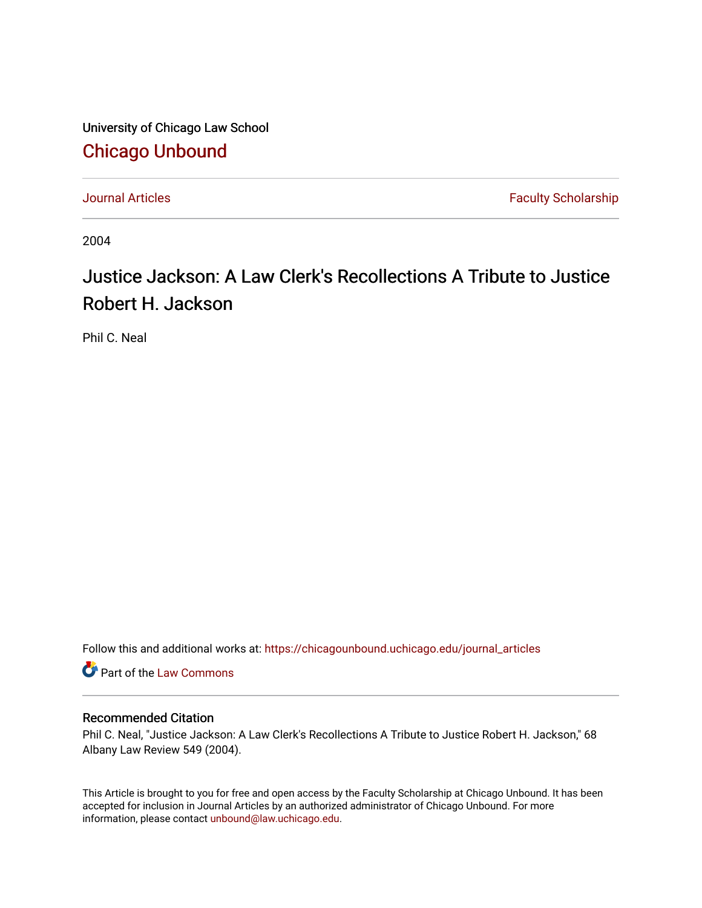University of Chicago Law School [Chicago Unbound](https://chicagounbound.uchicago.edu/)

[Journal Articles](https://chicagounbound.uchicago.edu/journal_articles) **Faculty Scholarship Faculty Scholarship** 

2004

## Justice Jackson: A Law Clerk's Recollections A Tribute to Justice Robert H. Jackson

Phil C. Neal

Follow this and additional works at: [https://chicagounbound.uchicago.edu/journal\\_articles](https://chicagounbound.uchicago.edu/journal_articles?utm_source=chicagounbound.uchicago.edu%2Fjournal_articles%2F1670&utm_medium=PDF&utm_campaign=PDFCoverPages) 

**C** Part of the [Law Commons](http://network.bepress.com/hgg/discipline/578?utm_source=chicagounbound.uchicago.edu%2Fjournal_articles%2F1670&utm_medium=PDF&utm_campaign=PDFCoverPages)

## Recommended Citation

Phil C. Neal, "Justice Jackson: A Law Clerk's Recollections A Tribute to Justice Robert H. Jackson," 68 Albany Law Review 549 (2004).

This Article is brought to you for free and open access by the Faculty Scholarship at Chicago Unbound. It has been accepted for inclusion in Journal Articles by an authorized administrator of Chicago Unbound. For more information, please contact [unbound@law.uchicago.edu](mailto:unbound@law.uchicago.edu).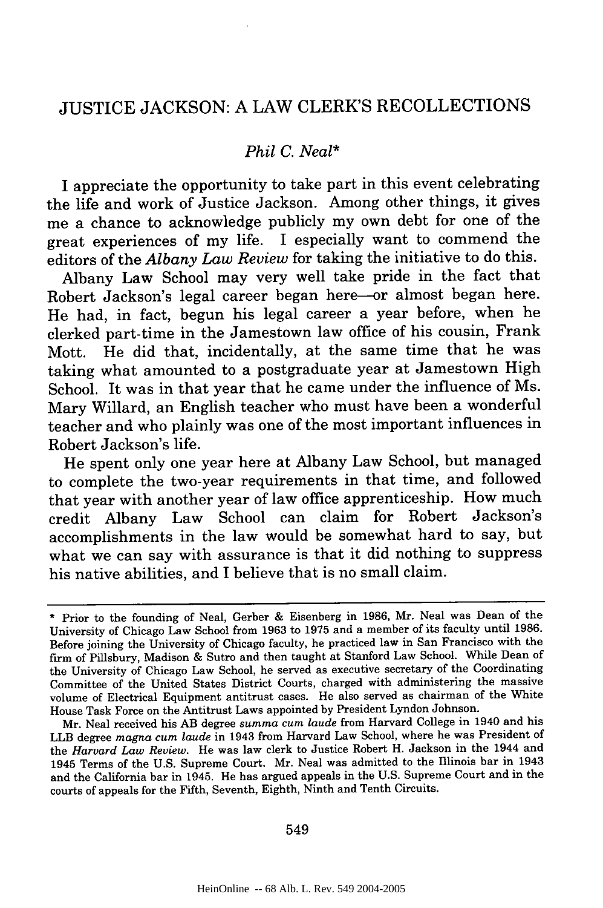## JUSTICE JACKSON: A LAW CLERK'S RECOLLECTIONS

## *Phil C. Neal\**

I appreciate the opportunity to take part in this event celebrating the life and work of Justice Jackson. Among other things, it gives me a chance to acknowledge publicly my own debt for one of the great experiences of my life. I especially want to commend the editors of the *Albany Law Review* for taking the initiative to do this.

Albany Law School may very well take pride in the fact that Robert Jackson's legal career began here-or almost began here. He had, in fact, begun his legal career a year before, when he clerked part-time in the Jamestown law office of his cousin, Frank Mott. He did that, incidentally, at the same time that he was taking what amounted to a postgraduate year at Jamestown High School. It was in that year that he came under the influence of Ms. Mary Willard, an English teacher who must have been a wonderful teacher and who plainly was one of the most important influences in Robert Jackson's life.

He spent only one year here at Albany Law School, but managed to complete the two-year requirements in that time, and followed that year with another year of law office apprenticeship. How much credit Albany Law School can claim for Robert Jackson's accomplishments in the law would be somewhat hard to say, but what we can say with assurance is that it did nothing to suppress his native abilities, and I believe that is no small claim.

Mr. Neal received his AB degree *summa cum laude* from Harvard College in 1940 and his LLB degree *magna cum laude* in 1943 from Harvard Law School, where he was President of the *Harvard Law Review.* He was law clerk to Justice Robert H. Jackson in the 1944 and 1945 Terms of the U.S. Supreme Court. Mr. Neal was admitted to the Illinois bar in 1943 and the California bar in 1945. He has argued appeals in the U.S. Supreme Court and in the courts of appeals for the Fifth, Seventh, Eighth, Ninth and Tenth Circuits.

549

<sup>\*</sup> Prior to the founding of Neal, Gerber & Eisenberg in 1986, Mr. Neal was Dean of the University of Chicago Law School from 1963 to 1975 and a member of its faculty until 1986. Before joining the University of Chicago faculty, he practiced law in San Francisco with the firm of Pillsbury, Madison & Sutro and then taught at Stanford Law School. While Dean of the University of Chicago Law School, he served as executive secretary of the Coordinating Committee of the United States District Courts, charged with administering the massive volume of Electrical Equipment antitrust cases. He also served as chairman of the White House Task Force on the Antitrust Laws appointed by President Lyndon Johnson.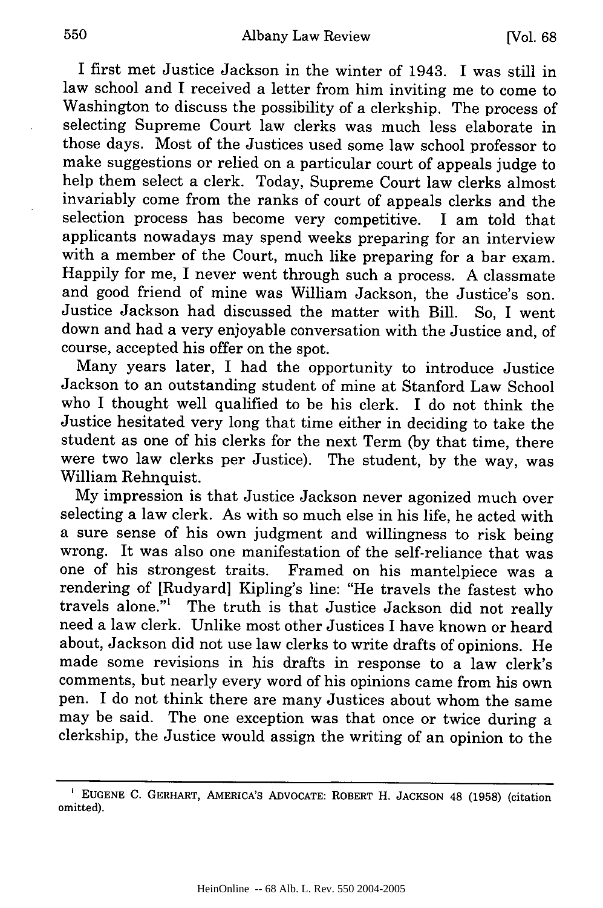I first met Justice Jackson in the winter of 1943. I was still in law school and I received a letter from him inviting me to come to Washington to discuss the possibility of a clerkship. The process of selecting Supreme Court law clerks was much less elaborate in those days. Most of the Justices used some law school professor to make suggestions or relied on a particular court of appeals judge to help them select a clerk. Today, Supreme Court law clerks almost invariably come from the ranks of court of appeals clerks and the selection process has become very competitive. I am told that applicants nowadays may spend weeks preparing for an interview with a member of the Court, much like preparing for a bar exam. Happily for me, I never went through such a process. A classmate and good friend of mine was William Jackson, the Justice's son. Justice Jackson had discussed the matter with Bill. So, I went down and had a very enjoyable conversation with the Justice and, of course, accepted his offer on the spot.

Many years later, I had the opportunity to introduce Justice Jackson to an outstanding student of mine at Stanford Law School who I thought well qualified to be his clerk. I do not think the Justice hesitated very long that time either in deciding to take the student as one of his clerks for the next Term (by that time, there were two law clerks per Justice). The student, by the way, was William Rehnquist.

My impression is that Justice Jackson never agonized much over selecting a law clerk. As with so much else in his life, he acted with a sure sense of his own judgment and willingness to risk being wrong. It was also one manifestation of the self-reliance that was one of his strongest traits. Framed on his mantelpiece was a rendering of [Rudyard] Kipling's line: "He travels the fastest who travels alone."' The truth is that Justice Jackson did not really need a law clerk. Unlike most other Justices I have known or heard about, Jackson did not use law clerks to write drafts of opinions. He made some revisions in his drafts in response to a law clerk's comments, but nearly every word of his opinions came from his own pen. I do not think there are many Justices about whom the same may be said. The one exception was that once or twice during a clerkship, the Justice would assign the writing of an opinion to the

**EUGENE** C. GERHART, AMERICA'S ADVOCATE: ROBERT H. **JACKSON** 48 **(1958)** (citation omitted).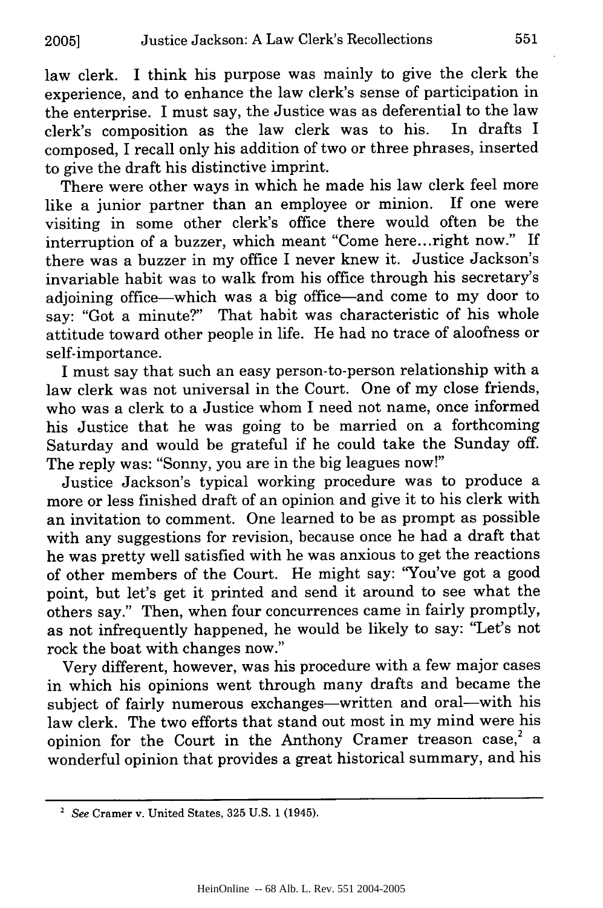law clerk. I think his purpose was mainly to give the clerk the experience, and to enhance the law clerk's sense of participation in the enterprise. I must say, the Justice was as deferential to the law<br>clerk's composition as the law clerk was to his. In drafts I clerk's composition as the law clerk was to his. composed, I recall only his addition of two or three phrases, inserted to give the draft his distinctive imprint.

There were other ways in which he made his law clerk feel more like a junior partner than an employee or minion. If one were visiting in some other clerk's office there would often be the interruption of a buzzer, which meant "Come here...right now." If there was a buzzer in my office I never knew it. Justice Jackson's invariable habit was to walk from his office through his secretary's adjoining office-which was a big office-and come to my door to say: "Got a minute?" That habit was characteristic of his whole attitude toward other people in life. He had no trace of aloofness or self-importance.

I must say that such an easy person-to-person relationship with a law clerk was not universal in the Court. One of my close friends, who was a clerk to a Justice whom I need not name, once informed his Justice that he was going to be married on a forthcoming Saturday and would be grateful if he could take the Sunday off. The reply was: "Sonny, you are in the big leagues now!"

Justice Jackson's typical working procedure was to produce a more or less finished draft of an opinion and give it to his clerk with an invitation to comment. One learned to be as prompt as possible with any suggestions for revision, because once he had a draft that he was pretty well satisfied with he was anxious to get the reactions of other members of the Court. He might say: "You've got a good point, but let's get it printed and send it around to see what the others say." Then, when four concurrences came in fairly promptly, as not infrequently happened, he would be likely to say: "Let's not rock the boat with changes now."

Very different, however, was his procedure with a few major cases in which his opinions went through many drafts and became the subject of fairly numerous exchanges-written and oral-with his law clerk. The two efforts that stand out most in my mind were his opinion for the Court in the Anthony Cramer treason case,<sup>2</sup> a wonderful opinion that provides a great historical summary, and his

*<sup>2</sup>* See Cramer v. United States, 325 U.S. 1 (1945).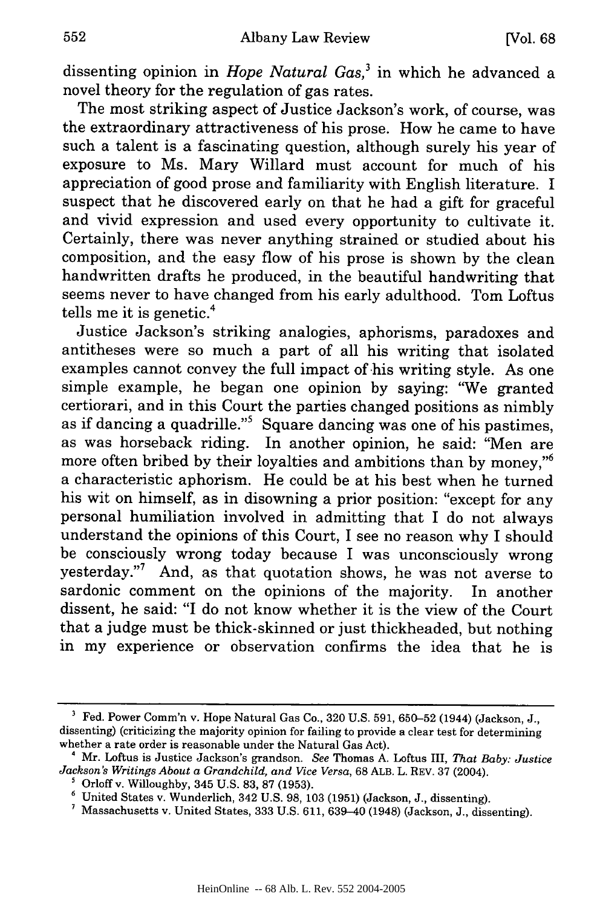dissenting opinion in *Hope Natural Gas,3* in which he advanced a novel theory for the regulation of gas rates.

The most striking aspect of Justice Jackson's work, of course, was the extraordinary attractiveness of his prose. How he came to have such a talent is a fascinating question, although surely his year of exposure to Ms. Mary Willard must account for much of his appreciation of good prose and familiarity with English literature. I suspect that he discovered early on that he had a gift for graceful and vivid expression and used every opportunity to cultivate it. Certainly, there was never anything strained or studied about his composition, and the easy flow of his prose is shown by the clean handwritten drafts he produced, in the beautiful handwriting that seems never to have changed from his early adulthood. Tom Loftus tells me it is genetic.<sup>4</sup>

Justice Jackson's striking analogies, aphorisms, paradoxes and antitheses were so much a part of all his writing that isolated examples cannot convey the full impact of his writing style. As one simple example, he began one opinion by saying: '"We granted certiorari, and in this Court the parties changed positions as nimbly as if dancing a quadrille."5 Square dancing was one of his pastimes, as was horseback riding. In another opinion, he said: "Men are more often bribed by their loyalties and ambitions than by money, $\frac{1}{6}$ a characteristic aphorism. He could be at his best when he turned his wit on himself, as in disowning a prior position: "except for any personal humiliation involved in admitting that I do not always understand the opinions of this Court, I see no reason why I should be consciously wrong today because I was unconsciously wrong yesterday."7 And, as that quotation shows, he was not averse to sardonic comment on the opinions of the majority. In another dissent, he said: "I do not know whether it is the view of the Court that a judge must be thick-skinned or just thickheaded, but nothing in my experience or observation confirms the idea that he is

**<sup>&#</sup>x27;** Fed. Power Comm'n v. Hope Natural Gas Co., 320 U.S. 591, 650-52 (1944) (Jackson, J., dissenting) (criticizing the majority opinion for failing to provide a clear test for determining whether a rate order is reasonable under the Natural Gas Act).

**<sup>&#</sup>x27;** Mr. Loftus is Justice Jackson's grandson. *See* Thomas A. Loftus III, *That Baby: Justice Jackson's Writings About a Grandchild, and Vice Versa,* 68 ALB. L. REV. 37 (2004).

 $^5$  Orloff v. Willoughby, 345 U.S. 83, 87 (1953).

**<sup>6</sup>**United States v. Wunderlich, 342 U.S. 98, 103 (1951) (Jackson, J., dissenting).

Massachusetts v. United States, 333 U.S. 611, 639-40 (1948) (Jackson, J., dissenting).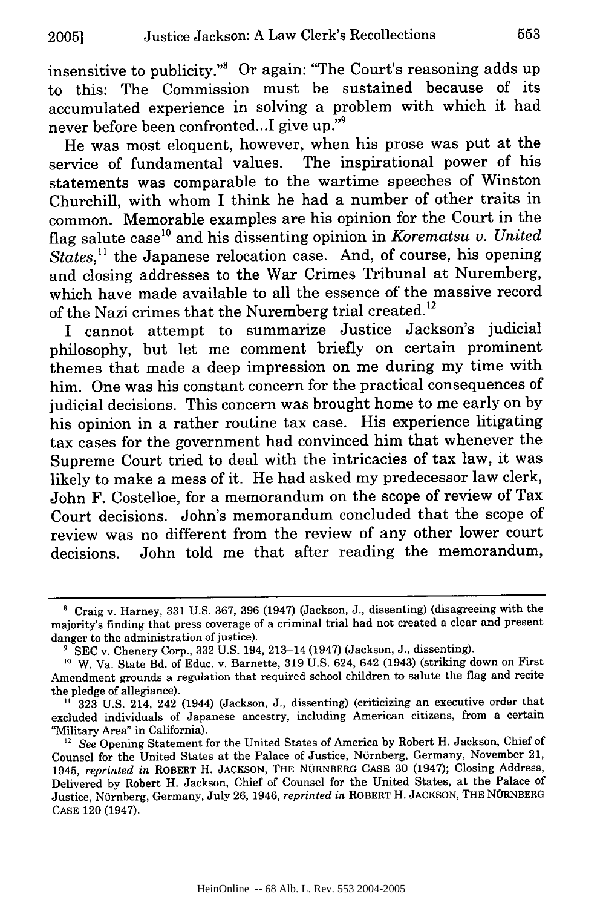insensitive to publicity."8 Or again: "The Court's reasoning adds up to this: The Commission must be sustained because of its accumulated experience in solving a problem with which it had never before been confronted...I give up."9

He was most eloquent, however, when his prose was put at the service of fundamental values. The inspirational power of his statements was comparable to the wartime speeches of Winston Churchill, with whom I think he had a number of other traits in common. Memorable examples are his opinion for the Court in the flag salute case<sup>10</sup> and his dissenting opinion in *Korematsu v. United States,"* the Japanese relocation case. And, of course, his opening and closing addresses to the War Crimes Tribunal at Nuremberg, which have made available to all the essence of the massive record of the Nazi crimes that the Nuremberg trial created.<sup>12</sup>

I cannot attempt to summarize Justice Jackson's judicial philosophy, but let me comment briefly on certain prominent themes that made a deep impression on me during my time with him. One was his constant concern for the practical consequences of judicial decisions. This concern was brought home to me early on by his opinion in a rather routine tax case. His experience litigating tax cases for the government had convinced him that whenever the Supreme Court tried to deal with the intricacies of tax law, it was likely to make a mess of it. He had asked my predecessor law clerk, John F. Costelloe, for a memorandum on the scope of review of Tax Court decisions. John's memorandum concluded that the scope of review was no different from the review of any other lower court decisions. John told me that after reading the memorandum,

**<sup>&#</sup>x27;** Craig v. Harney, 331 U.S. 367, 396 (1947) (Jackson, J., dissenting) (disagreeing with the majority's finding that press coverage of a criminal trial had not created a clear and present danger to the administration of justice).

<sup>&</sup>lt;sup>9</sup> SEC v. Chenery Corp., 332 U.S. 194, 213-14 (1947) (Jackson, J., dissenting).

<sup>&</sup>lt;sup>10</sup> W. Va. State Bd. of Educ. v. Barnette, 319 U.S. 624, 642 (1943) (striking down on First Amendment grounds a regulation that required school children to salute the flag and recite the pledge of allegiance).

**<sup>&</sup>quot;** 323 U.S. 214, 242 (1944) (Jackson, J., dissenting) (criticizing an executive order that excluded individuals of Japanese ancestry, including American citizens, from a certain 'Military Area" in California).

<sup>&</sup>lt;sup>12</sup> See Opening Statement for the United States of America by Robert H. Jackson, Chief of Counsel for the United States at the Palace of Justice, Nürnberg, Germany, November 21, 1945, *reprinted in* ROBERT H. JACKSON, THE NÜRNBERG CASE 30 (1947); Closing Address, Delivered by Robert H. Jackson, Chief of Counsel for the United States, at the Palace of Justice, Nürnberg, Germany, July 26, 1946, *reprinted in* ROBERT H. JACKSON, THE NÜRNBERG CASE 120 (1947).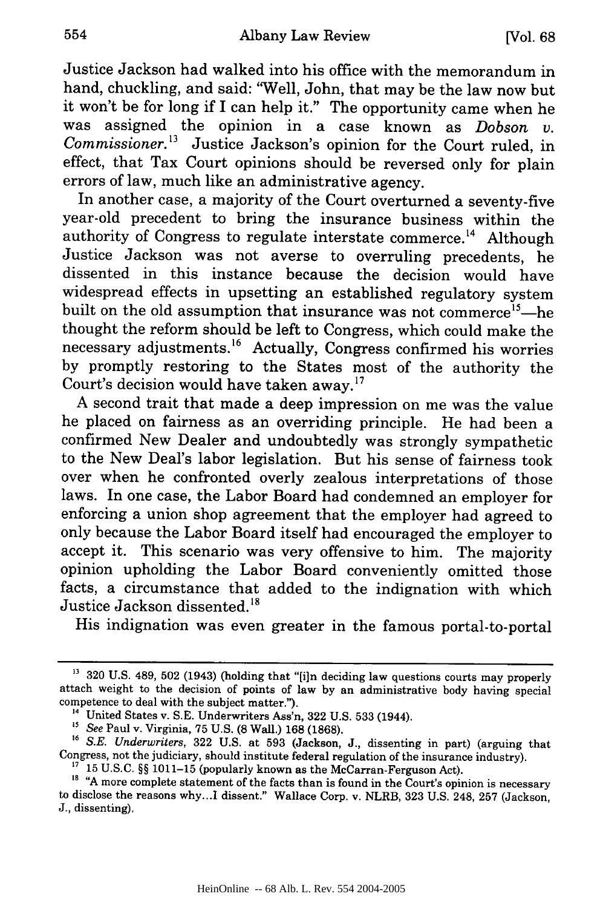Justice Jackson had walked into his office with the memorandum in hand, chuckling, and said: "Well, John, that may be the law now but it won't be for long if I can help it." The opportunity came when he was assigned the opinion in a case known as *Dobson v. Commissioner.3* Justice Jackson's opinion for the Court ruled, in effect, that Tax Court opinions should be reversed only for plain errors of law, much like an administrative agency.

In another case, a majority of the Court overturned a seventy-five year-old precedent to bring the insurance business within the authority of Congress to regulate interstate commerce.<sup>14</sup> Although Justice Jackson was not averse to overruling precedents, he dissented in this instance because the decision would have widespread effects in upsetting an established regulatory system built on the old assumption that insurance was not commerce<sup>15</sup>-he thought the reform should be left to Congress, which could make the necessary adjustments.<sup>16</sup> Actually, Congress confirmed his worries by promptly restoring to the States most of the authority the Court's decision would have taken away.<sup>17</sup>

A second trait that made a deep impression on me was the value he placed on fairness as an overriding principle. He had been a confirmed New Dealer and undoubtedly was strongly sympathetic to the New Deal's labor legislation. But his sense of fairness took over when he confronted overly zealous interpretations of those laws. In one case, the Labor Board had condemned an employer for enforcing a union shop agreement that the employer had agreed to only because the Labor Board itself had encouraged the employer to accept it. This scenario was very offensive to him. The majority opinion upholding the Labor Board conveniently omitted those facts, a circumstance that added to the indignation with which Justice Jackson dissented.<sup>18</sup>

His indignation was even greater in the famous portal-to-portal

<sup>&</sup>lt;sup>13</sup> 320 U.S. 489, 502 (1943) (holding that "[i]n deciding law questions courts may properly attach weight to the decision of points of law by an administrative body having special competence to deal with the subject matter.").

<sup>&</sup>lt;sup>14</sup> United States v. S.E. Underwriters Ass'n, 322 U.S. 533 (1944).<br><sup>15</sup> See Paul v. Virginia, 75 U.S. (8 Wall.) 168 (1868).<br><sup>16</sup> S.E. Underwriters, 322 U.S. at 593 (Jackson, J., dissenting in part) (arguing that Congress, not the judiciary, should institute federal regulation of the insurance industry).

**<sup>&#</sup>x27;7** 15 U.S.C. §§ 1011-15 (popularly known as the McCarran-Ferguson Act).

<sup>&</sup>lt;sup>18</sup> "A more complete statement of the facts than is found in the Court's opinion is necessary to disclose the reasons why.. **.I** dissent." Wallace Corp. v. NLRB, 323 U.S. 248, 257 (Jackson, J., dissenting).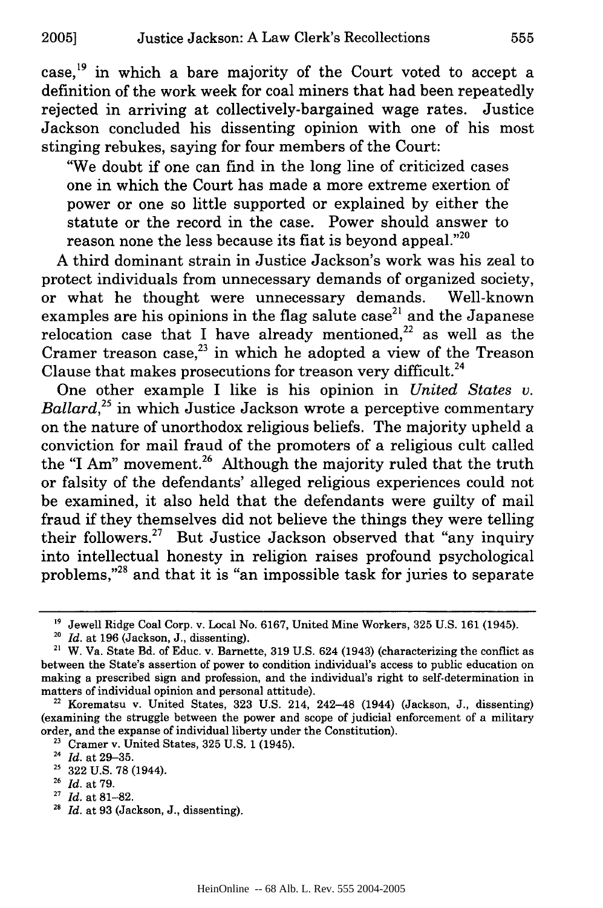case, 19 in which a bare majority of the Court voted to accept a definition of the work week for coal miners that had been repeatedly rejected in arriving at collectively-bargained wage rates. Justice Jackson concluded his dissenting opinion with one of his most stinging rebukes, saying for four members of the Court:

"We doubt if one can find in the long line of criticized cases one in which the Court has made a more extreme exertion of power or one so little supported or explained by either the statute or the record in the case. Power should answer to reason none the less because its fiat is beyond appeal."<sup>20</sup>

A third dominant strain in Justice Jackson's work was his zeal to protect individuals from unnecessary demands of organized society, or what he thought were unnecessary demands. Well-known examples are his opinions in the flag salute case<sup>21</sup> and the Japanese relocation case that I have already mentioned, $^{22}$  as well as the Cramer treason case, $^{23}$  in which he adopted a view of the Treason Clause that makes prosecutions for treason very difficult.<sup>24</sup>

One other example I like is his opinion in *United States v. Ballard*<sup>25</sup> in which Justice Jackson wrote a perceptive commentary on the nature of unorthodox religious beliefs. The majority upheld a conviction for mail fraud of the promoters of a religious cult called the "I Am" movement.<sup>26</sup> Although the majority ruled that the truth or falsity of the defendants' alleged religious experiences could not be examined, it also held that the defendants were guilty of mail fraud if they themselves did not believe the things they were telling their followers.27 But Justice Jackson observed that "any inquiry into intellectual honesty in religion raises profound psychological problems,"<sup>28</sup> and that it is "an impossible task for juries to separate

**<sup>27</sup>***Id.* at 81-82.

**<sup>&</sup>quot;9** Jewell Ridge Coal Corp. v. Local No. 6167, United Mine Workers, 325 U.S. 161 (1945). **<sup>20</sup>***Id.* at 196 (Jackson, J., dissenting).

**<sup>21</sup>** W. Va. State Bd. of Educ. v. Barnette, 319 U.S. 624 (1943) (characterizing the conflict as between the State's assertion of power to condition individual's access to public education on making a prescribed sign and profession, and the individual's right to self-determination in matters of individual opinion and personal attitude).

**<sup>22</sup>**Korematsu v. United States, 323 U.S. 214, 242-48 (1944) (Jackson, J., dissenting) (examining the struggle between the power and scope of judicial enforcement of a military order, and the expanse of individual liberty under the Constitution).<br><sup>23</sup> Cramer v. United States, 325 U.S. 1 (1945).

*<sup>24</sup> Id.* at 29-35.

**<sup>25</sup>** 322 U.S. 78 (1944).

**<sup>26</sup>***Id.* at 79.

*<sup>28</sup> Id.* at 93 (Jackson, J., dissenting).